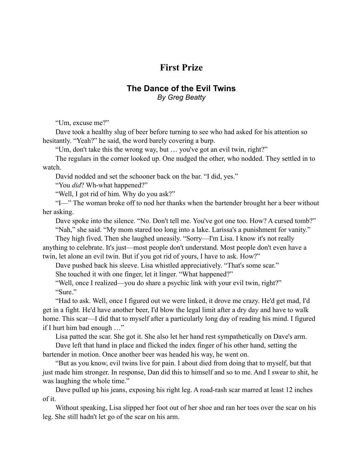## **First Prize**

## **The Dance of the Evil Twins** *By Greg Beatty*

"Um, excuse me?"

Dave took a healthy slug of beer before turning to see who had asked for his attention so hesitantly. "Yeah?" he said, the word barely covering a burp.

"Um, don't take this the wrong way, but … you've got an evil twin, right?"

The regulars in the corner looked up. One nudged the other, who nodded. They settled in to watch.

David nodded and set the schooner back on the bar. "I did, yes."

"You *did*? Wh-what happened?"

"Well, I got rid of him. Why do you ask?"

"I—" The woman broke off to nod her thanks when the bartender brought her a beer without her asking.

Dave spoke into the silence. "No. Don't tell me. You've got one too. How? A cursed tomb?" "Nah," she said. "My mom stared too long into a lake. Larissa's a punishment for vanity."

They high fived. Then she laughed uneasily. "Sorry—I'm Lisa. I know it's not really anything to celebrate. It's just—most people don't understand. Most people don't even have a twin, let alone an evil twin. But if you got rid of yours, I have to ask. How?"

Dave pushed back his sleeve. Lisa whistled appreciatively. "That's some scar."

She touched it with one finger, let it linger. "What happened?"

"Well, once I realized—you do share a psychic link with your evil twin, right?" "Sure"

"Had to ask. Well, once I figured out we were linked, it drove me crazy. He'd get mad, I'd get in a fight. He'd have another beer, I'd blow the legal limit after a dry day and have to walk home. This scar—I did that to myself after a particularly long day of reading his mind. I figured if I hurt him bad enough …"

Lisa patted the scar. She got it. She also let her hand rest sympathetically on Dave's arm.

Dave left that hand in place and flicked the index finger of his other hand, setting the bartender in motion. Once another beer was headed his way, he went on.

"But as you know, evil twins live for pain. I about died from doing that to myself, but that just made him stronger. In response, Dan did this to himself and so to me. And I swear to shit, he was laughing the whole time."

Dave pulled up his jeans, exposing his right leg. A road-rash scar marred at least 12 inches of it.

Without speaking, Lisa slipped her foot out of her shoe and ran her toes over the scar on his leg. She still hadn't let go of the scar on his arm.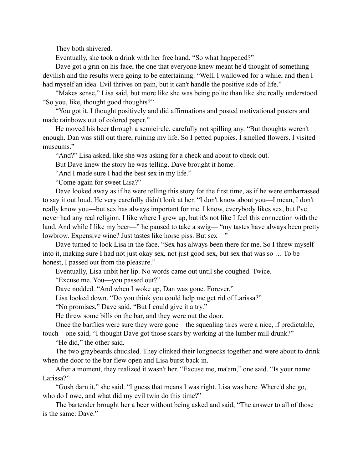They both shivered.

Eventually, she took a drink with her free hand. "So what happened?"

Dave got a grin on his face, the one that everyone knew meant he'd thought of something devilish and the results were going to be entertaining. "Well, I wallowed for a while, and then I had myself an idea. Evil thrives on pain, but it can't handle the positive side of life."

"Makes sense," Lisa said, but more like she was being polite than like she really understood. "So you, like, thought good thoughts?"

"You got it. I thought positively and did affirmations and posted motivational posters and made rainbows out of colored paper."

He moved his beer through a semicircle, carefully not spilling any. "But thoughts weren't enough. Dan was still out there, ruining my life. So I petted puppies. I smelled flowers. I visited museums."

"And?" Lisa asked, like she was asking for a check and about to check out.

But Dave knew the story he was telling. Dave brought it home.

"And I made sure I had the best sex in my life."

"Come again for sweet Lisa?"

Dave looked away as if he were telling this story for the first time, as if he were embarrassed to say it out loud. He very carefully didn't look at her. "I don't know about you—I mean, I don't really know you—but sex has always important for me. I know, everybody likes sex, but I've never had any real religion. I like where I grew up, but it's not like I feel this connection with the land. And while I like my beer—" he paused to take a swig— "my tastes have always been pretty lowbrow. Expensive wine? Just tastes like horse piss. But sex—"

Dave turned to look Lisa in the face. "Sex has always been there for me. So I threw myself into it, making sure I had not just okay sex, not just good sex, but sex that was so … To be honest, I passed out from the pleasure."

Eventually, Lisa unbit her lip. No words came out until she coughed. Twice.

"Excuse me. You—you passed out?"

Dave nodded. "And when I woke up, Dan was gone. Forever."

Lisa looked down. "Do you think you could help me get rid of Larissa?"

"No promises," Dave said. "But I could give it a try."

He threw some bills on the bar, and they were out the door.

Once the barflies were sure they were gone—the squealing tires were a nice, if predictable,

touch—one said, "I thought Dave got those scars by working at the lumber mill drunk?" "He did," the other said.

The two graybeards chuckled. They clinked their longnecks together and were about to drink when the door to the bar flew open and Lisa burst back in.

After a moment, they realized it wasn't her. "Excuse me, ma'am," one said. "Is your name Larissa?"

"Gosh darn it," she said. "I guess that means I was right. Lisa was here. Where'd she go, who do I owe, and what did my evil twin do this time?"

The bartender brought her a beer without being asked and said, "The answer to all of those is the same: Dave."